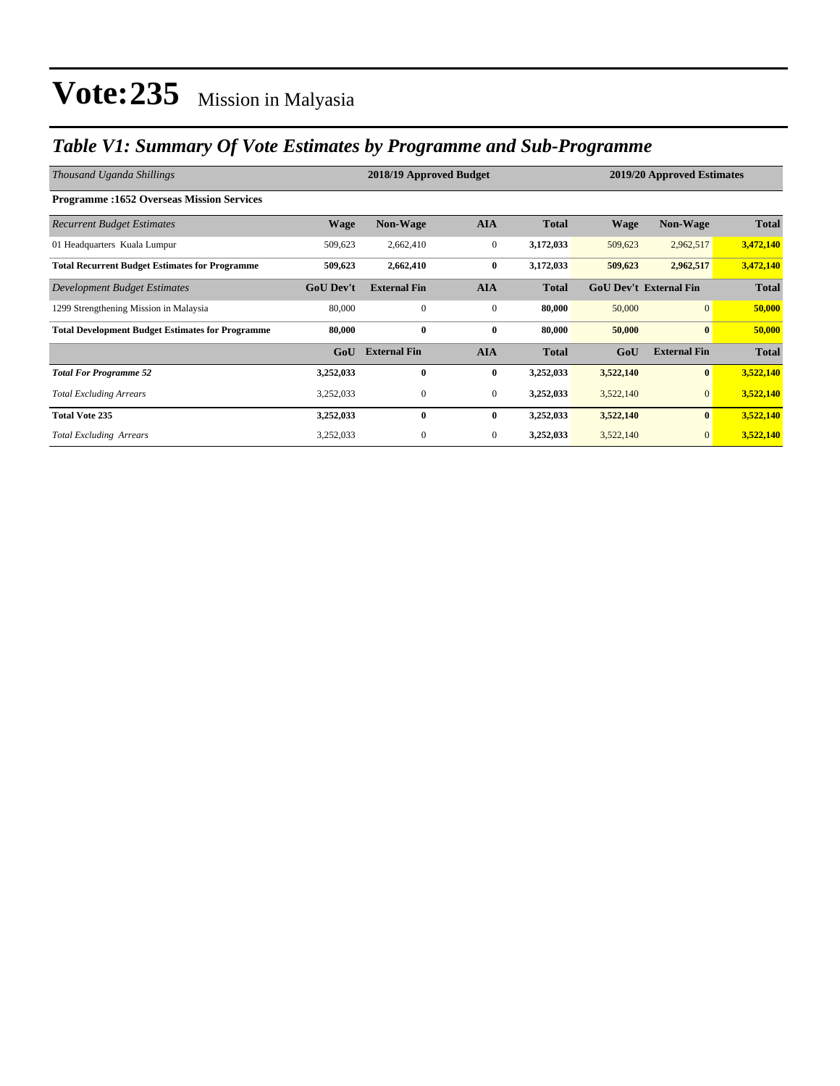### *Table V1: Summary Of Vote Estimates by Programme and Sub-Programme*

| Thousand Uganda Shillings                               |                  | 2018/19 Approved Budget |                  | 2019/20 Approved Estimates |                               |                     |              |
|---------------------------------------------------------|------------------|-------------------------|------------------|----------------------------|-------------------------------|---------------------|--------------|
| <b>Programme:1652 Overseas Mission Services</b>         |                  |                         |                  |                            |                               |                     |              |
| <b>Recurrent Budget Estimates</b>                       | <b>Wage</b>      | Non-Wage                | <b>AIA</b>       | <b>Total</b>               | <b>Wage</b>                   | Non-Wage            | <b>Total</b> |
| 01 Headquarters Kuala Lumpur                            | 509,623          | 2,662,410               | $\boldsymbol{0}$ | 3,172,033                  | 509,623                       | 2,962,517           | 3,472,140    |
| <b>Total Recurrent Budget Estimates for Programme</b>   | 509,623          | 2,662,410               | $\bf{0}$         | 3,172,033                  | 509,623                       | 2,962,517           | 3,472,140    |
| Development Budget Estimates                            | <b>GoU Dev't</b> | <b>External Fin</b>     | <b>AIA</b>       | <b>Total</b>               | <b>GoU Dev't External Fin</b> |                     | <b>Total</b> |
| 1299 Strengthening Mission in Malaysia                  | 80,000           | $\mathbf{0}$            | $\mathbf{0}$     | 80,000                     | 50,000                        | $\overline{0}$      | 50,000       |
| <b>Total Development Budget Estimates for Programme</b> | 80,000           | $\bf{0}$                | $\bf{0}$         | 80,000                     | 50,000                        | $\bf{0}$            | 50,000       |
|                                                         | GoU              | <b>External Fin</b>     | <b>AIA</b>       | <b>Total</b>               | GoU                           | <b>External Fin</b> | <b>Total</b> |
| <b>Total For Programme 52</b>                           | 3,252,033        | $\bf{0}$                | $\bf{0}$         | 3,252,033                  | 3,522,140                     | $\bf{0}$            | 3,522,140    |
| <b>Total Excluding Arrears</b>                          | 3,252,033        | $\boldsymbol{0}$        | $\mathbf{0}$     | 3,252,033                  | 3,522,140                     | $\mathbf{0}$        | 3,522,140    |
| <b>Total Vote 235</b>                                   | 3,252,033        | $\bf{0}$                | $\bf{0}$         | 3,252,033                  | 3,522,140                     | $\bf{0}$            | 3,522,140    |
| <b>Total Excluding Arrears</b>                          | 3,252,033        | $\boldsymbol{0}$        | $\mathbf{0}$     | 3,252,033                  | 3,522,140                     | $\overline{0}$      | 3,522,140    |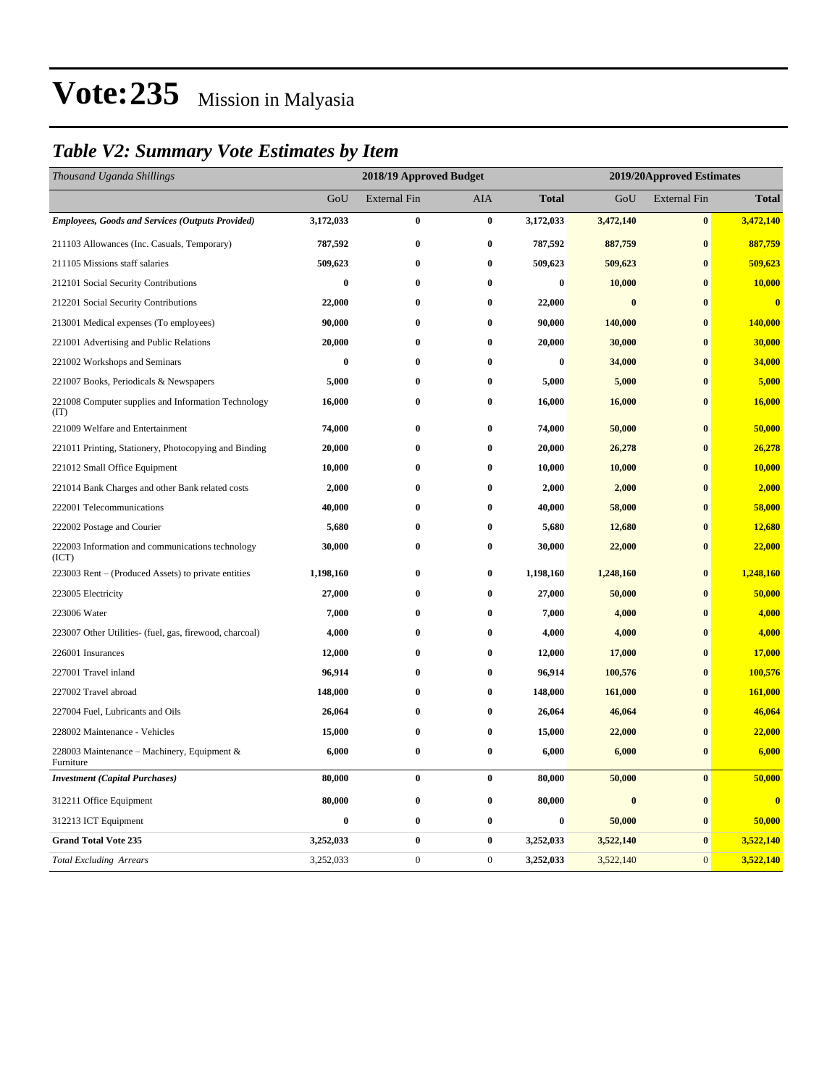### *Table V2: Summary Vote Estimates by Item*

| Thousand Uganda Shillings                                   |           | 2018/19 Approved Budget |                  |              |           | 2019/20Approved Estimates |              |  |  |
|-------------------------------------------------------------|-----------|-------------------------|------------------|--------------|-----------|---------------------------|--------------|--|--|
|                                                             | GoU       | <b>External Fin</b>     | AIA              | <b>Total</b> | GoU       | <b>External Fin</b>       | <b>Total</b> |  |  |
| <b>Employees, Goods and Services (Outputs Provided)</b>     | 3,172,033 | $\bf{0}$                | $\pmb{0}$        | 3,172,033    | 3,472,140 | $\pmb{0}$                 | 3,472,140    |  |  |
| 211103 Allowances (Inc. Casuals, Temporary)                 | 787,592   | $\bf{0}$                | $\bf{0}$         | 787,592      | 887,759   | $\bf{0}$                  | 887,759      |  |  |
| 211105 Missions staff salaries                              | 509,623   | $\bf{0}$                | $\bf{0}$         | 509,623      | 509,623   | $\bf{0}$                  | 509,623      |  |  |
| 212101 Social Security Contributions                        | $\bf{0}$  | $\bf{0}$                | $\bf{0}$         | $\bf{0}$     | 10,000    | $\bf{0}$                  | 10,000       |  |  |
| 212201 Social Security Contributions                        | 22,000    | $\bf{0}$                | $\bf{0}$         | 22,000       | $\bf{0}$  | $\bf{0}$                  | $\bf{0}$     |  |  |
| 213001 Medical expenses (To employees)                      | 90,000    | $\bf{0}$                | $\bf{0}$         | 90,000       | 140,000   | $\bf{0}$                  | 140,000      |  |  |
| 221001 Advertising and Public Relations                     | 20,000    | $\bf{0}$                | $\bf{0}$         | 20,000       | 30,000    | $\bf{0}$                  | 30,000       |  |  |
| 221002 Workshops and Seminars                               | $\bf{0}$  | $\bf{0}$                | $\bf{0}$         | $\bf{0}$     | 34,000    | $\bf{0}$                  | 34,000       |  |  |
| 221007 Books, Periodicals & Newspapers                      | 5,000     | $\bf{0}$                | $\bf{0}$         | 5,000        | 5,000     | $\bf{0}$                  | 5,000        |  |  |
| 221008 Computer supplies and Information Technology<br>(TT) | 16,000    | $\bf{0}$                | $\bf{0}$         | 16,000       | 16,000    | $\bf{0}$                  | 16,000       |  |  |
| 221009 Welfare and Entertainment                            | 74,000    | $\bf{0}$                | $\bf{0}$         | 74,000       | 50,000    | $\bf{0}$                  | 50,000       |  |  |
| 221011 Printing, Stationery, Photocopying and Binding       | 20,000    | $\bf{0}$                | $\bf{0}$         | 20,000       | 26,278    | $\bf{0}$                  | 26,278       |  |  |
| 221012 Small Office Equipment                               | 10,000    | $\bf{0}$                | $\bf{0}$         | 10,000       | 10,000    | $\bf{0}$                  | 10,000       |  |  |
| 221014 Bank Charges and other Bank related costs            | 2,000     | $\bf{0}$                | $\bf{0}$         | 2,000        | 2,000     | $\bf{0}$                  | 2,000        |  |  |
| 222001 Telecommunications                                   | 40,000    | $\bf{0}$                | $\bf{0}$         | 40,000       | 58,000    | $\bf{0}$                  | 58,000       |  |  |
| 222002 Postage and Courier                                  | 5,680     | $\bf{0}$                | $\bf{0}$         | 5,680        | 12,680    | $\bf{0}$                  | 12,680       |  |  |
| 222003 Information and communications technology<br>(ICT)   | 30,000    | $\bf{0}$                | $\bf{0}$         | 30,000       | 22,000    | $\bf{0}$                  | 22,000       |  |  |
| 223003 Rent – (Produced Assets) to private entities         | 1,198,160 | $\bf{0}$                | $\bf{0}$         | 1,198,160    | 1,248,160 | $\bf{0}$                  | 1,248,160    |  |  |
| 223005 Electricity                                          | 27,000    | $\bf{0}$                | $\bf{0}$         | 27,000       | 50,000    | $\bf{0}$                  | 50,000       |  |  |
| 223006 Water                                                | 7,000     | $\bf{0}$                | $\bf{0}$         | 7,000        | 4,000     | $\bf{0}$                  | 4,000        |  |  |
| 223007 Other Utilities- (fuel, gas, firewood, charcoal)     | 4,000     | $\bf{0}$                | $\bf{0}$         | 4,000        | 4,000     | $\bf{0}$                  | 4,000        |  |  |
| 226001 Insurances                                           | 12,000    | $\bf{0}$                | $\bf{0}$         | 12,000       | 17,000    | $\bf{0}$                  | 17,000       |  |  |
| 227001 Travel inland                                        | 96,914    | $\bf{0}$                | $\bf{0}$         | 96,914       | 100,576   | $\bf{0}$                  | 100,576      |  |  |
| 227002 Travel abroad                                        | 148,000   | $\bf{0}$                | $\bf{0}$         | 148,000      | 161,000   | $\bf{0}$                  | 161,000      |  |  |
| 227004 Fuel, Lubricants and Oils                            | 26,064    | $\bf{0}$                | $\bf{0}$         | 26,064       | 46,064    | $\bf{0}$                  | 46,064       |  |  |
| 228002 Maintenance - Vehicles                               | 15,000    | $\bf{0}$                | $\bf{0}$         | 15,000       | 22,000    | $\bf{0}$                  | 22,000       |  |  |
| 228003 Maintenance - Machinery, Equipment &<br>Furniture    | 6,000     | $\bf{0}$                | $\bf{0}$         | 6,000        | 6,000     | $\bf{0}$                  | 6,000        |  |  |
| <b>Investment</b> (Capital Purchases)                       | 80,000    | $\bf{0}$                | $\bf{0}$         | 80,000       | 50,000    | $\bf{0}$                  | 50,000       |  |  |
| 312211 Office Equipment                                     | 80,000    | $\bf{0}$                | $\bf{0}$         | 80,000       | $\bf{0}$  | $\bf{0}$                  | $\mathbf{0}$ |  |  |
| 312213 ICT Equipment                                        | $\bf{0}$  | $\bf{0}$                | $\bf{0}$         | 0            | 50,000    | $\bf{0}$                  | 50,000       |  |  |
| <b>Grand Total Vote 235</b>                                 | 3,252,033 | $\bf{0}$                | $\bf{0}$         | 3,252,033    | 3,522,140 | $\bf{0}$                  | 3,522,140    |  |  |
| <b>Total Excluding Arrears</b>                              | 3,252,033 | $\boldsymbol{0}$        | $\boldsymbol{0}$ | 3,252,033    | 3,522,140 | $\boldsymbol{0}$          | 3,522,140    |  |  |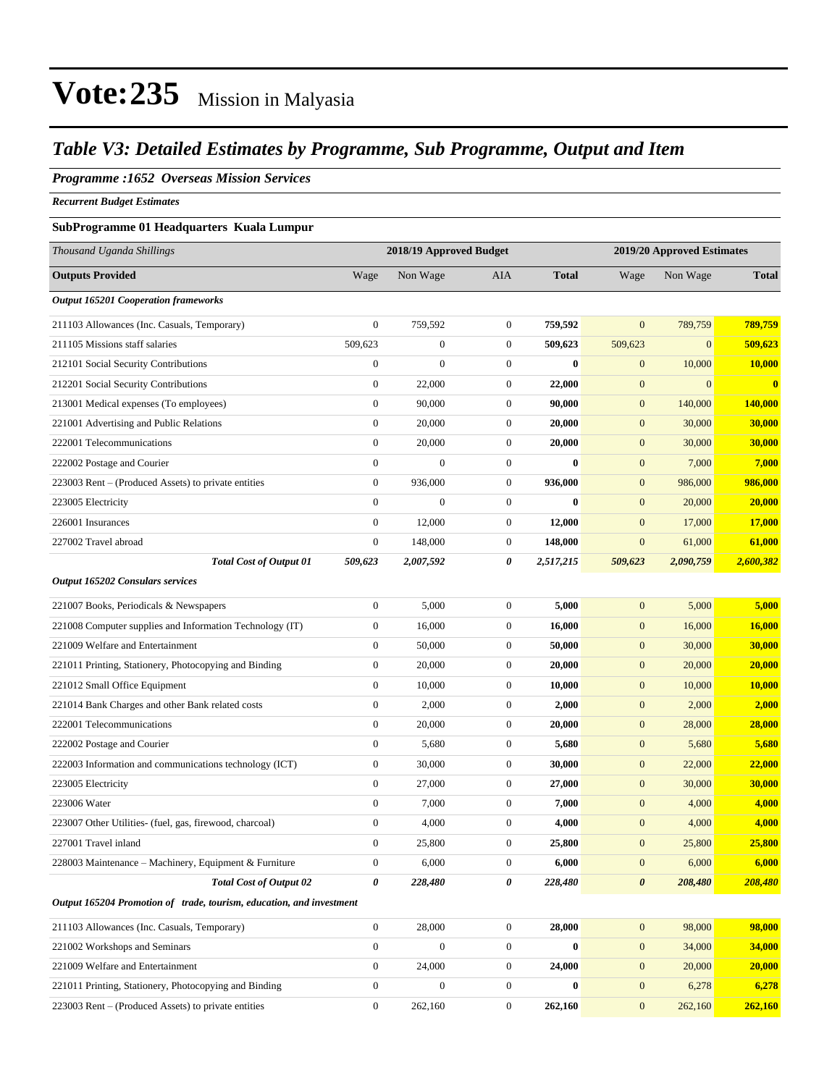### *Table V3: Detailed Estimates by Programme, Sub Programme, Output and Item*

#### *Programme :1652 Overseas Mission Services*

*Recurrent Budget Estimates*

#### **SubProgramme 01 Headquarters Kuala Lumpur**

| Thousand Uganda Shillings                                            | 2018/19 Approved Budget |                  |                  | 2019/20 Approved Estimates |                       |              |              |
|----------------------------------------------------------------------|-------------------------|------------------|------------------|----------------------------|-----------------------|--------------|--------------|
| <b>Outputs Provided</b>                                              | Wage                    | Non Wage         | <b>AIA</b>       | <b>Total</b>               | Wage                  | Non Wage     | <b>Total</b> |
| <b>Output 165201 Cooperation frameworks</b>                          |                         |                  |                  |                            |                       |              |              |
| 211103 Allowances (Inc. Casuals, Temporary)                          | $\boldsymbol{0}$        | 759,592          | $\mathbf{0}$     | 759,592                    | $\mathbf{0}$          | 789,759      | 789,759      |
| 211105 Missions staff salaries                                       | 509,623                 | $\boldsymbol{0}$ | $\boldsymbol{0}$ | 509,623                    | 509,623               | $\mathbf{0}$ | 509,623      |
| 212101 Social Security Contributions                                 | $\boldsymbol{0}$        | $\overline{0}$   | $\mathbf{0}$     | $\bf{0}$                   | $\mathbf{0}$          | 10,000       | 10,000       |
| 212201 Social Security Contributions                                 | $\boldsymbol{0}$        | 22,000           | $\boldsymbol{0}$ | 22,000                     | $\boldsymbol{0}$      | $\mathbf{0}$ | $\bf{0}$     |
| 213001 Medical expenses (To employees)                               | $\boldsymbol{0}$        | 90,000           | $\mathbf{0}$     | 90,000                     | $\boldsymbol{0}$      | 140,000      | 140,000      |
| 221001 Advertising and Public Relations                              | $\boldsymbol{0}$        | 20,000           | $\mathbf{0}$     | 20,000                     | $\mathbf{0}$          | 30,000       | 30,000       |
| 222001 Telecommunications                                            | $\boldsymbol{0}$        | 20,000           | $\mathbf{0}$     | 20,000                     | $\mathbf{0}$          | 30,000       | 30,000       |
| 222002 Postage and Courier                                           | $\boldsymbol{0}$        | $\overline{0}$   | $\boldsymbol{0}$ | $\bf{0}$                   | $\boldsymbol{0}$      | 7,000        | 7,000        |
| 223003 Rent – (Produced Assets) to private entities                  | $\boldsymbol{0}$        | 936,000          | $\boldsymbol{0}$ | 936,000                    | $\mathbf{0}$          | 986,000      | 986,000      |
| 223005 Electricity                                                   | $\boldsymbol{0}$        | $\boldsymbol{0}$ | $\boldsymbol{0}$ | $\bf{0}$                   | $\boldsymbol{0}$      | 20,000       | 20,000       |
| 226001 Insurances                                                    | $\boldsymbol{0}$        | 12,000           | $\mathbf{0}$     | 12,000                     | $\mathbf{0}$          | 17,000       | 17,000       |
| 227002 Travel abroad                                                 | $\boldsymbol{0}$        | 148,000          | $\mathbf{0}$     | 148,000                    | $\mathbf{0}$          | 61,000       | 61,000       |
| <b>Total Cost of Output 01</b>                                       | 509,623                 | 2,007,592        | 0                | 2,517,215                  | 509,623               | 2,090,759    | 2,600,382    |
| Output 165202 Consulars services                                     |                         |                  |                  |                            |                       |              |              |
| 221007 Books, Periodicals & Newspapers                               | $\boldsymbol{0}$        | 5,000            | $\mathbf{0}$     | 5,000                      | $\boldsymbol{0}$      | 5,000        | 5,000        |
| 221008 Computer supplies and Information Technology (IT)             | $\boldsymbol{0}$        | 16,000           | $\mathbf{0}$     | 16,000                     | $\mathbf{0}$          | 16,000       | 16,000       |
| 221009 Welfare and Entertainment                                     | $\boldsymbol{0}$        | 50,000           | $\boldsymbol{0}$ | 50,000                     | $\mathbf{0}$          | 30,000       | 30,000       |
| 221011 Printing, Stationery, Photocopying and Binding                | $\boldsymbol{0}$        | 20,000           | $\boldsymbol{0}$ | 20,000                     | $\mathbf{0}$          | 20,000       | 20,000       |
| 221012 Small Office Equipment                                        | $\boldsymbol{0}$        | 10,000           | $\mathbf{0}$     | 10,000                     | $\boldsymbol{0}$      | 10,000       | 10,000       |
| 221014 Bank Charges and other Bank related costs                     | $\boldsymbol{0}$        | 2,000            | $\mathbf{0}$     | 2,000                      | $\boldsymbol{0}$      | 2,000        | 2,000        |
| 222001 Telecommunications                                            | $\boldsymbol{0}$        | 20,000           | $\mathbf{0}$     | 20,000                     | $\boldsymbol{0}$      | 28,000       | 28,000       |
| 222002 Postage and Courier                                           | $\boldsymbol{0}$        | 5,680            | $\boldsymbol{0}$ | 5,680                      | $\mathbf{0}$          | 5,680        | 5,680        |
| 222003 Information and communications technology (ICT)               | $\boldsymbol{0}$        | 30,000           | $\boldsymbol{0}$ | 30,000                     | $\mathbf{0}$          | 22,000       | 22,000       |
| 223005 Electricity                                                   | $\boldsymbol{0}$        | 27,000           | $\boldsymbol{0}$ | 27,000                     | $\boldsymbol{0}$      | 30,000       | 30,000       |
| 223006 Water                                                         | $\boldsymbol{0}$        | 7,000            | $\mathbf{0}$     | 7,000                      | $\mathbf{0}$          | 4,000        | 4,000        |
| 223007 Other Utilities- (fuel, gas, firewood, charcoal)              | $\boldsymbol{0}$        | 4,000            | $\boldsymbol{0}$ | 4,000                      | $\mathbf{0}$          | 4,000        | 4,000        |
| 227001 Travel inland                                                 | $\boldsymbol{0}$        | 25,800           | $\boldsymbol{0}$ | 25,800                     | $\mathbf{0}$          | 25,800       | 25,800       |
| 228003 Maintenance - Machinery, Equipment & Furniture                | $\boldsymbol{0}$        | 6,000            | $\boldsymbol{0}$ | 6,000                      | $\boldsymbol{0}$      | 6,000        | 6,000        |
| <b>Total Cost of Output 02</b>                                       | 0                       | 228,480          | 0                | 228,480                    | $\boldsymbol{\theta}$ | 208,480      | 208,480      |
| Output 165204 Promotion of trade, tourism, education, and investment |                         |                  |                  |                            |                       |              |              |
| 211103 Allowances (Inc. Casuals, Temporary)                          | $\mathbf{0}$            | 28,000           | $\boldsymbol{0}$ | 28,000                     | $\mathbf{0}$          | 98,000       | 98,000       |
| 221002 Workshops and Seminars                                        | $\boldsymbol{0}$        | $\overline{0}$   | $\mathbf{0}$     | $\bf{0}$                   | $\boldsymbol{0}$      | 34,000       | 34,000       |
| 221009 Welfare and Entertainment                                     | $\overline{0}$          | 24,000           | $\boldsymbol{0}$ | 24,000                     | $\boldsymbol{0}$      | 20,000       | 20,000       |
| 221011 Printing, Stationery, Photocopying and Binding                | $\boldsymbol{0}$        | $\boldsymbol{0}$ | $\boldsymbol{0}$ | $\bf{0}$                   | $\mathbf{0}$          | 6,278        | 6,278        |
| 223003 Rent - (Produced Assets) to private entities                  | $\boldsymbol{0}$        | 262,160          | $\boldsymbol{0}$ | 262,160                    | $\mathbf{0}$          | 262,160      | 262,160      |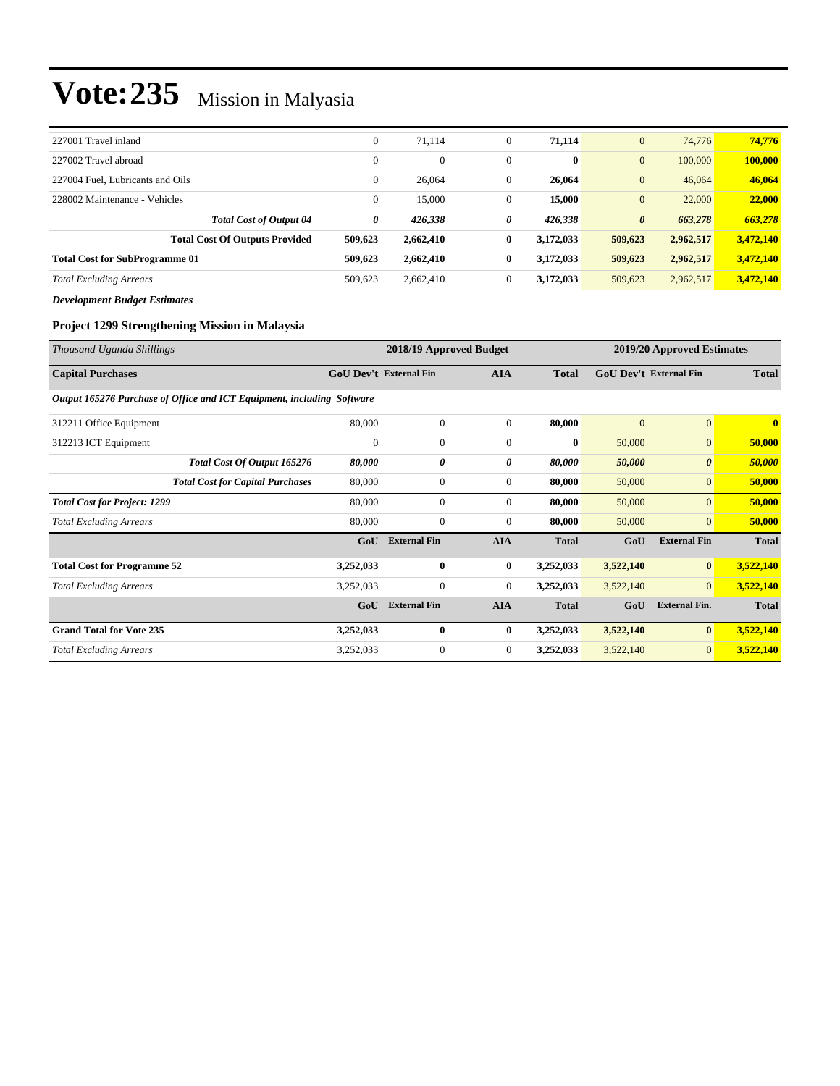| 227001 Travel inland                  | $\theta$       | 71,114         | $\Omega$     | 71,114    | $\mathbf{0}$          | 74,776    | 74,776    |
|---------------------------------------|----------------|----------------|--------------|-----------|-----------------------|-----------|-----------|
| 227002 Travel abroad                  | $\theta$       | $\overline{0}$ | $\mathbf{0}$ | $\bf{0}$  | $\mathbf{0}$          | 100,000   | 100,000   |
| 227004 Fuel. Lubricants and Oils      | $\overline{0}$ | 26,064         | $\mathbf{0}$ | 26,064    | $\mathbf{0}$          | 46,064    | 46,064    |
| 228002 Maintenance - Vehicles         | $\overline{0}$ | 15,000         | $\Omega$     | 15,000    | $\mathbf{0}$          | 22,000    | 22,000    |
| <b>Total Cost of Output 04</b>        | 0              | 426,338        | 0            | 426,338   | $\boldsymbol{\theta}$ | 663,278   | 663,278   |
| <b>Total Cost Of Outputs Provided</b> | 509,623        | 2,662,410      | $\bf{0}$     | 3,172,033 | 509,623               | 2,962,517 | 3,472,140 |
| <b>Total Cost for SubProgramme 01</b> | 509,623        | 2,662,410      | $\bf{0}$     | 3.172.033 | 509,623               | 2,962,517 | 3,472,140 |
| <b>Total Excluding Arrears</b>        | 509,623        | 2,662,410      | $\mathbf{0}$ | 3,172,033 | 509,623               | 2,962,517 | 3,472,140 |
| <b>Development Budget Estimates</b>   |                |                |              |           |                       |           |           |

#### **Project 1299 Strengthening Mission in Malaysia**

| Thousand Uganda Shillings                                              | 2018/19 Approved Budget<br>2019/20 Approved Estimates |                     |                  |              |                |                               |                         |
|------------------------------------------------------------------------|-------------------------------------------------------|---------------------|------------------|--------------|----------------|-------------------------------|-------------------------|
| <b>Capital Purchases</b>                                               | <b>GoU Dev't External Fin</b>                         |                     | <b>AIA</b>       | <b>Total</b> |                | <b>GoU Dev't External Fin</b> | <b>Total</b>            |
| Output 165276 Purchase of Office and ICT Equipment, including Software |                                                       |                     |                  |              |                |                               |                         |
| 312211 Office Equipment                                                | 80,000                                                | $\mathbf{0}$        | $\overline{0}$   | 80,000       | $\overline{0}$ | $\overline{0}$                | $\overline{\mathbf{0}}$ |
| 312213 ICT Equipment                                                   | $\overline{0}$                                        | $\overline{0}$      | $\mathbf{0}$     | $\bf{0}$     | 50,000         | $\vert 0 \vert$               | 50,000                  |
| Total Cost Of Output 165276                                            | 80,000                                                | 0                   | 0                | 80,000       | 50,000         | $\boldsymbol{\theta}$         | 50,000                  |
| <b>Total Cost for Capital Purchases</b>                                | 80,000                                                | $\boldsymbol{0}$    | $\overline{0}$   | 80,000       | 50,000         | $\overline{0}$                | 50,000                  |
| <b>Total Cost for Project: 1299</b>                                    | 80,000                                                | $\boldsymbol{0}$    | $\boldsymbol{0}$ | 80,000       | 50,000         | $\overline{0}$                | 50,000                  |
| <b>Total Excluding Arrears</b>                                         | 80,000                                                | $\mathbf{0}$        | $\mathbf{0}$     | 80,000       | 50,000         | $\overline{0}$                | 50,000                  |
|                                                                        | GoU                                                   | <b>External Fin</b> | <b>AIA</b>       | <b>Total</b> | GoU            | <b>External Fin</b>           | <b>Total</b>            |
| <b>Total Cost for Programme 52</b>                                     | 3,252,033                                             | $\bf{0}$            | $\bf{0}$         | 3,252,033    | 3,522,140      | $\mathbf{0}$                  | 3,522,140               |
| <b>Total Excluding Arrears</b>                                         | 3,252,033                                             | $\boldsymbol{0}$    | $\boldsymbol{0}$ | 3,252,033    | 3,522,140      | $\vert 0 \vert$               | 3,522,140               |
|                                                                        | GoU                                                   | <b>External Fin</b> | <b>AIA</b>       | <b>Total</b> | GoU            | <b>External Fin.</b>          | <b>Total</b>            |
| <b>Grand Total for Vote 235</b>                                        | 3,252,033                                             | $\bf{0}$            | $\bf{0}$         | 3,252,033    | 3,522,140      | $\bf{0}$                      | 3,522,140               |
| <b>Total Excluding Arrears</b>                                         | 3,252,033                                             | $\boldsymbol{0}$    | $\overline{0}$   | 3,252,033    | 3,522,140      | $\vert 0 \vert$               | 3,522,140               |